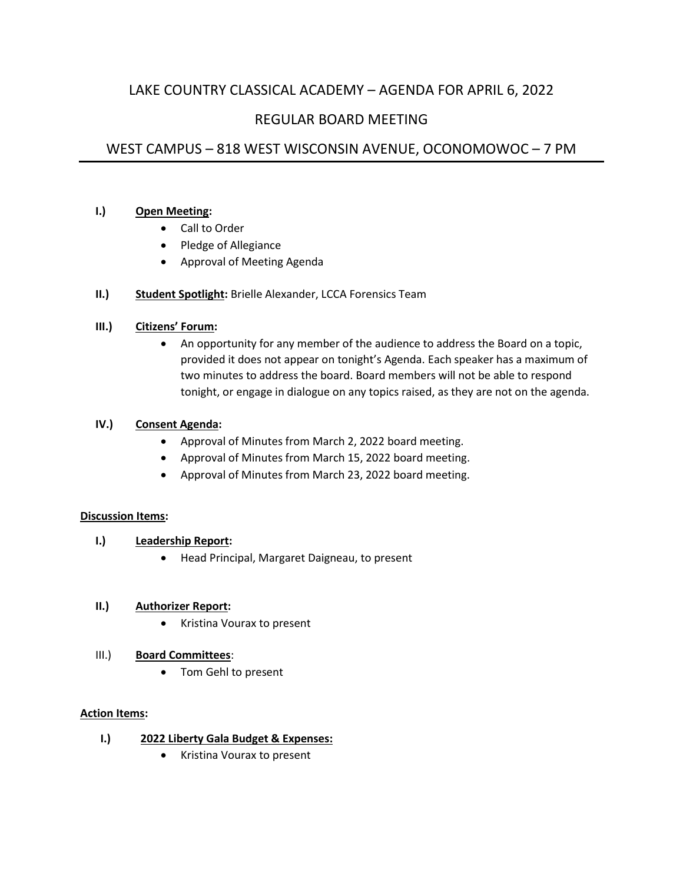# LAKE COUNTRY CLASSICAL ACADEMY – AGENDA FOR APRIL 6, 2022

## REGULAR BOARD MEETING

# WEST CAMPUS – 818 WEST WISCONSIN AVENUE, OCONOMOWOC – 7 PM

### **I.) Open Meeting:**

- Call to Order
- Pledge of Allegiance
- Approval of Meeting Agenda

## **II.) Student Spotlight:** Brielle Alexander, LCCA Forensics Team

## **III.) Citizens' Forum:**

• An opportunity for any member of the audience to address the Board on a topic, provided it does not appear on tonight's Agenda. Each speaker has a maximum of two minutes to address the board. Board members will not be able to respond tonight, or engage in dialogue on any topics raised, as they are not on the agenda.

#### **IV.) Consent Agenda:**

- Approval of Minutes from March 2, 2022 board meeting.
- Approval of Minutes from March 15, 2022 board meeting.
- Approval of Minutes from March 23, 2022 board meeting.

#### **Discussion Items:**

- **I.) Leadership Report:**
	- Head Principal, Margaret Daigneau, to present

#### **II.) Authorizer Report:**

• Kristina Vourax to present

#### III.) **Board Committees**:

• Tom Gehl to present

#### **Action Items:**

#### **I.) 2022 Liberty Gala Budget & Expenses:**

• Kristina Vourax to present